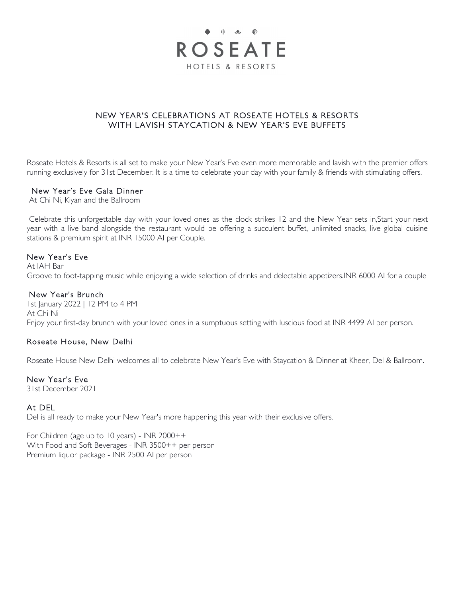

# NEW YEAR'S CELEBRATIONS AT ROSEATE HOTELS & RESORTS WITH LAVISH STAYCATION & NEW YEAR'S EVE BUFFETS

Roseate Hotels & Resorts is all set to make your New Year's Eve even more memorable and lavish with the premier offers running exclusively for 31st December. It is a time to celebrate your day with your family & friends with stimulating offers.

### New Year's Eve Gala Dinner

At Chi Ni, Kiyan and the Ballroom

Celebrate this unforgettable day with your loved ones as the clock strikes 12 and the New Year sets in,Start your next year with a live band alongside the restaurant would be offering a succulent buffet, unlimited snacks, live global cuisine stations & premium spirit at INR 15000 AI per Couple.

## New Year's Eve

At IAH Bar Groove to foot-tapping music while enjoying a wide selection of drinks and delectable appetizers.INR 6000 AI for a couple

## New Year's Brunch

1st January 2022 | 12 PM to 4 PM At Chi Ni Enjoy your first-day brunch with your loved ones in a sumptuous setting with luscious food at INR 4499 AI per person.

# Roseate House, New Delhi

Roseate House New Delhi welcomes all to celebrate New Year's Eve with Staycation & Dinner at Kheer, Del & Ballroom.

### New Year's Eve

31st December 2021

# At DEL

Del is all ready to make your New Year's more happening this year with their exclusive offers.

For Children (age up to 10 years) - INR 2000++ With Food and Soft Beverages - INR 3500++ per person Premium liquor package - INR 2500 AI per person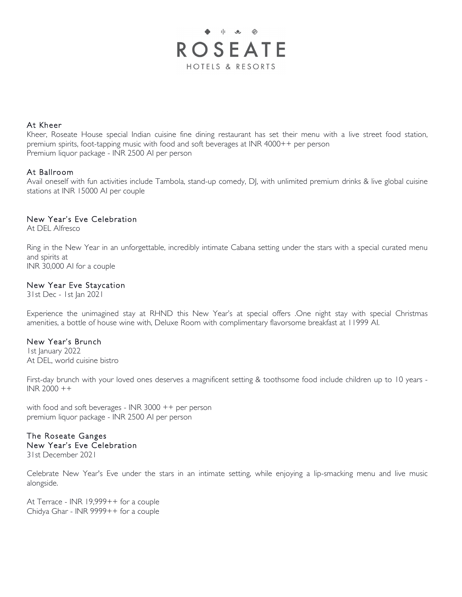

## At Kheer

Kheer, Roseate House special Indian cuisine fine dining restaurant has set their menu with a live street food station, premium spirits, foot-tapping music with food and soft beverages at INR 4000++ per person Premium liquor package - INR 2500 AI per person

## At Ballroom

Avail oneself with fun activities include Tambola, stand-up comedy, DJ, with unlimited premium drinks & live global cuisine stations at INR 15000 AI per couple

# New Year's Eve Celebration

At DEL Alfresco

Ring in the New Year in an unforgettable, incredibly intimate Cabana setting under the stars with a special curated menu and spirits at INR 30,000 AI for a couple

### New Year Eve Staycation

31st Dec - 1st Jan 2021

Experience the unimagined stay at RHND this New Year's at special offers .One night stay with special Christmas amenities, a bottle of house wine with, Deluxe Room with complimentary flavorsome breakfast at 11999 AI.

### New Year's Brunch

1st January 2022 At DEL, world cuisine bistro

First-day brunch with your loved ones deserves a magnificent setting & toothsome food include children up to 10 years -INR 2000 ++

with food and soft beverages - INR 3000 ++ per person premium liquor package - INR 2500 AI per person

# The Roseate Ganges

New Year's Eve Celebration 31st December 2021

Celebrate New Year's Eve under the stars in an intimate setting, while enjoying a lip-smacking menu and live music alongside.

At Terrace - INR 19,999++ for a couple Chidya Ghar - INR 9999++ for a couple